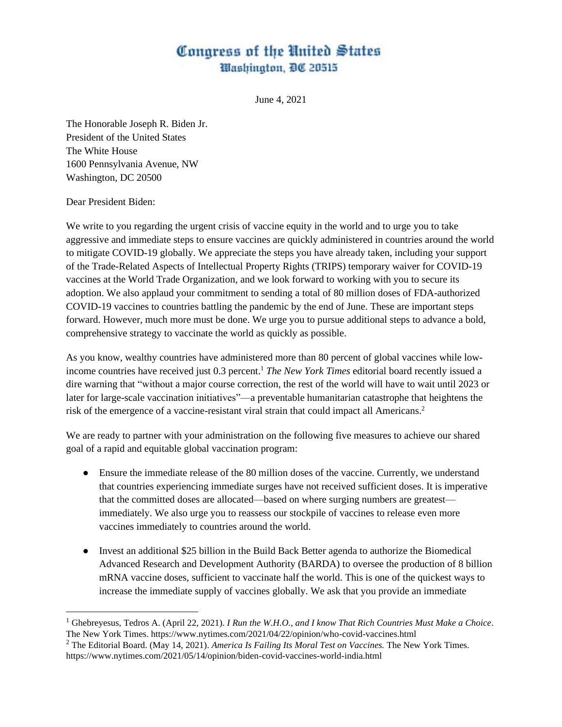## Congress of the United States Washington, DC 20515

June 4, 2021

The Honorable Joseph R. Biden Jr. President of the United States The White House 1600 Pennsylvania Avenue, NW Washington, DC 20500

## Dear President Biden:

We write to you regarding the urgent crisis of vaccine equity in the world and to urge you to take aggressive and immediate steps to ensure vaccines are quickly administered in countries around the world to mitigate COVID-19 globally. We appreciate the steps you have already taken, including your support of the Trade-Related Aspects of Intellectual Property Rights (TRIPS) temporary waiver for COVID-19 vaccines at the World Trade Organization, and we look forward to working with you to secure its adoption. We also applaud your commitment to sending a total of 80 million doses of FDA-authorized COVID-19 vaccines to countries battling the pandemic by the end of June. These are important steps forward. However, much more must be done. We urge you to pursue additional steps to advance a bold, comprehensive strategy to vaccinate the world as quickly as possible.

As you know, wealthy countries have administered more than 80 percent of global vaccines while lowincome countries have received just 0.3 percent.<sup>1</sup> *The New York Times* editorial board recently issued a dire warning that "without a major course correction, the rest of the world will have to wait until 2023 or later for large-scale vaccination initiatives"—a preventable humanitarian catastrophe that heightens the risk of the emergence of a vaccine-resistant viral strain that could impact all Americans.<sup>2</sup>

We are ready to partner with your administration on the following five measures to achieve our shared goal of a rapid and equitable global vaccination program:

- Ensure the immediate release of the 80 million doses of the vaccine. Currently, we understand that countries experiencing immediate surges have not received sufficient doses. It is imperative that the committed doses are allocated—based on where surging numbers are greatest immediately. We also urge you to reassess our stockpile of vaccines to release even more vaccines immediately to countries around the world.
- Invest an additional \$25 billion in the Build Back Better agenda to authorize the Biomedical Advanced Research and Development Authority (BARDA) to oversee the production of 8 billion mRNA vaccine doses, sufficient to vaccinate half the world. This is one of the quickest ways to increase the immediate supply of vaccines globally. We ask that you provide an immediate

<sup>1</sup> Ghebreyesus, Tedros A. (April 22, 2021). *I Run the W.H.O., and I know That Rich Countries Must Make a Choice*. The New York Times. https://www.nytimes.com/2021/04/22/opinion/who-covid-vaccines.html

<sup>2</sup> The Editorial Board. (May 14, 2021). *America Is Failing Its Moral Test on Vaccines.* The New York Times. https://www.nytimes.com/2021/05/14/opinion/biden-covid-vaccines-world-india.html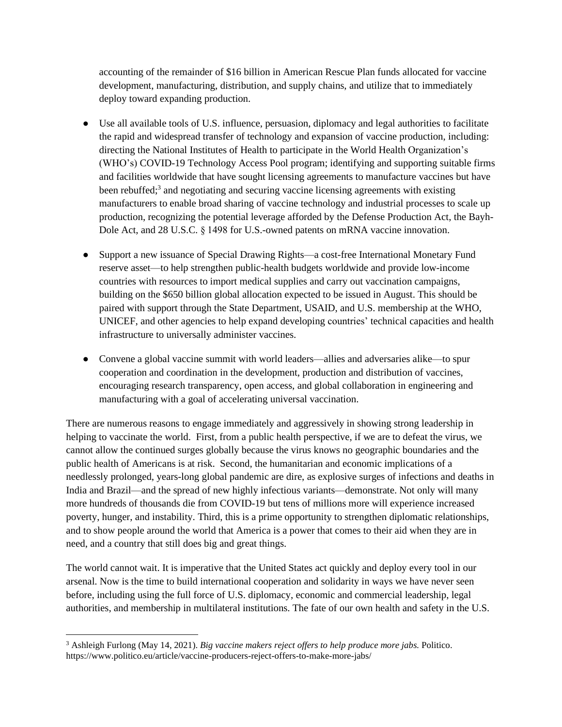accounting of the remainder of \$16 billion in American Rescue Plan funds allocated for vaccine development, manufacturing, distribution, and supply chains, and utilize that to immediately deploy toward expanding production.

- Use all available tools of U.S. influence, persuasion, diplomacy and legal authorities to facilitate the rapid and widespread transfer of technology and expansion of vaccine production, including: directing the National Institutes of Health to participate in the World Health Organization's (WHO's) COVID-19 Technology Access Pool program; identifying and supporting suitable firms and facilities worldwide that have sought licensing agreements to manufacture vaccines but have been rebuffed;<sup>3</sup> and negotiating and securing vaccine licensing agreements with existing manufacturers to enable broad sharing of vaccine technology and industrial processes to scale up production, recognizing the potential leverage afforded by the Defense Production Act, the Bayh-Dole Act, and 28 U.S.C. § 1498 for U.S.-owned patents on mRNA vaccine innovation.
- Support a new issuance of Special Drawing Rights—a cost-free International Monetary Fund reserve asset—to help strengthen public-health budgets worldwide and provide low-income countries with resources to import medical supplies and carry out vaccination campaigns, building on the \$650 billion global allocation expected to be issued in August. This should be paired with support through the State Department, USAID, and U.S. membership at the WHO, UNICEF, and other agencies to help expand developing countries' technical capacities and health infrastructure to universally administer vaccines.
- Convene a global vaccine summit with world leaders—allies and adversaries alike—to spur cooperation and coordination in the development, production and distribution of vaccines, encouraging research transparency, open access, and global collaboration in engineering and manufacturing with a goal of accelerating universal vaccination.

There are numerous reasons to engage immediately and aggressively in showing strong leadership in helping to vaccinate the world. First, from a public health perspective, if we are to defeat the virus, we cannot allow the continued surges globally because the virus knows no geographic boundaries and the public health of Americans is at risk. Second, the humanitarian and economic implications of a needlessly prolonged, years-long global pandemic are dire, as explosive surges of infections and deaths in India and Brazil—and the spread of new highly infectious variants—demonstrate. Not only will many more hundreds of thousands die from COVID-19 but tens of millions more will experience increased poverty, hunger, and instability. Third, this is a prime opportunity to strengthen diplomatic relationships, and to show people around the world that America is a power that comes to their aid when they are in need, and a country that still does big and great things.

The world cannot wait. It is imperative that the United States act quickly and deploy every tool in our arsenal. Now is the time to build international cooperation and solidarity in ways we have never seen before, including using the full force of U.S. diplomacy, economic and commercial leadership, legal authorities, and membership in multilateral institutions. The fate of our own health and safety in the U.S.

<sup>3</sup> Ashleigh Furlong (May 14, 2021). *Big vaccine makers reject offers to help produce more jabs.* Politico. https://www.politico.eu/article/vaccine-producers-reject-offers-to-make-more-jabs/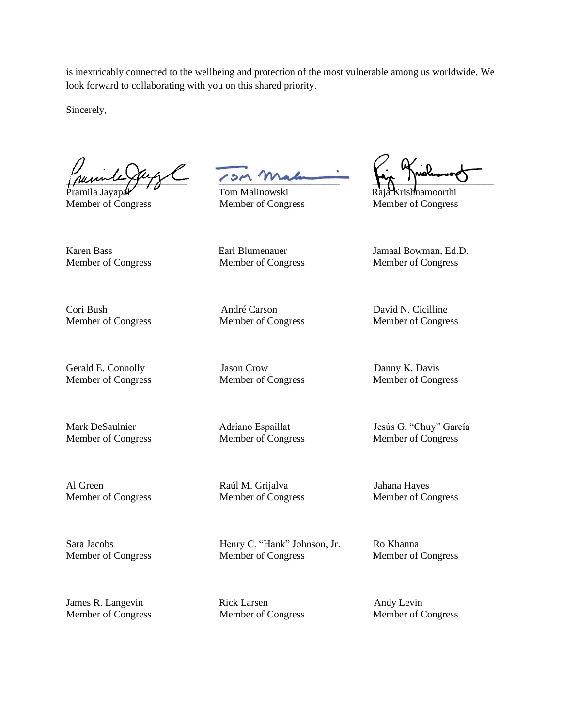is inextricably connected to the wellbeing and protection of the most vulnerable among us worldwide. We look forward to collaborating with you on this shared priority.

Sincerely,

 $\mu$  and  $\mu$  and  $\mu$  and  $\mu$  and  $\mu$ 

Karen Bass Earl Blumenauer Jamaal Bowman, Ed.D.

Pramila Jayapal Tom Malinowski Raja Krish Raja Krishnamoorthi Member of Congress Member of Congress Member of Congress

Member of Congress Member of Congress Member of Congress

Member of Congress Member of Congress Member of Congress

James R. Langevin Rick Larsen Andy Levin

Cori Bush André Carson David N. Cicilline

Gerald E. Connolly **State Connolly** Jason Crow **Danny K. Davis** Danny K. Davis

Al Green Raúl M. Grijalva Jahana Hayes Member of Congress Member of Congress Member of Congress

Sara Jacobs Henry C. "Hank" Johnson, Jr. Ro Khanna Member of Congress Member of Congress Member of Congress

Member of Congress Member of Congress Member of Congress

Member of Congress Member of Congress Member of Congress

Mark DeSaulnier Adriano Espaillat Jesús G. "Chuy" García Member of Congress Member of Congress Member of Congress